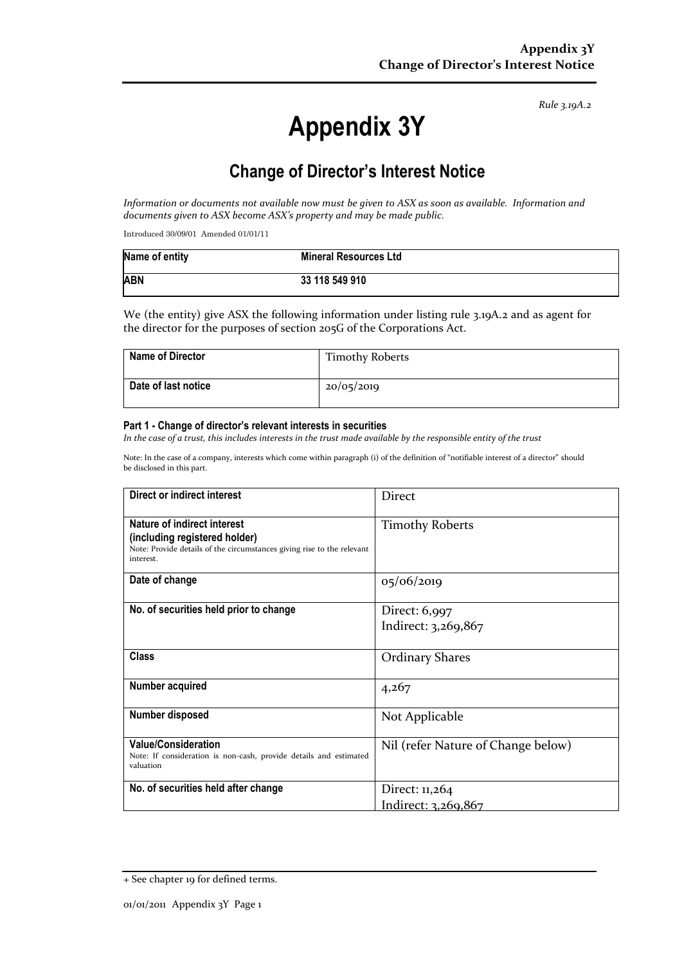*Rule 3.19A.2*

# **Appendix 3Y**

# **Change of Director's Interest Notice**

*Information or documents not available now must be given to ASX as soon as available. Information and documents given to ASX become ASX's property and may be made public.*

Introduced 30/09/01 Amended 01/01/11

| Name of entity | <b>Mineral Resources Ltd</b> |
|----------------|------------------------------|
| <b>ABN</b>     | 33 118 549 910               |

We (the entity) give ASX the following information under listing rule 3.19A.2 and as agent for the director for the purposes of section 205G of the Corporations Act.

| Name of Director    | <b>Timothy Roberts</b> |
|---------------------|------------------------|
| Date of last notice | 20/05/2019             |

#### **Part 1 - Change of director's relevant interests in securities**

*In the case of a trust, this includes interests in the trust made available by the responsible entity of the trust*

Note: In the case of a company, interests which come within paragraph (i) of the definition of "notifiable interest of a director" should be disclosed in this part.

| Direct or indirect interest                                                                                                                         | Direct                               |
|-----------------------------------------------------------------------------------------------------------------------------------------------------|--------------------------------------|
| Nature of indirect interest<br>(including registered holder)<br>Note: Provide details of the circumstances giving rise to the relevant<br>interest. | <b>Timothy Roberts</b>               |
| Date of change                                                                                                                                      | 05/06/2019                           |
| No. of securities held prior to change                                                                                                              | Direct: 6,997<br>Indirect: 3,269,867 |
| <b>Class</b>                                                                                                                                        |                                      |
|                                                                                                                                                     | <b>Ordinary Shares</b>               |
| Number acquired                                                                                                                                     | 4,267                                |
| Number disposed                                                                                                                                     | Not Applicable                       |
| <b>Value/Consideration</b><br>Note: If consideration is non-cash, provide details and estimated<br>valuation                                        | Nil (refer Nature of Change below)   |
| No. of securities held after change                                                                                                                 | Direct: 11,264                       |
|                                                                                                                                                     | Indirect: 3,269,867                  |

<sup>+</sup> See chapter 19 for defined terms.